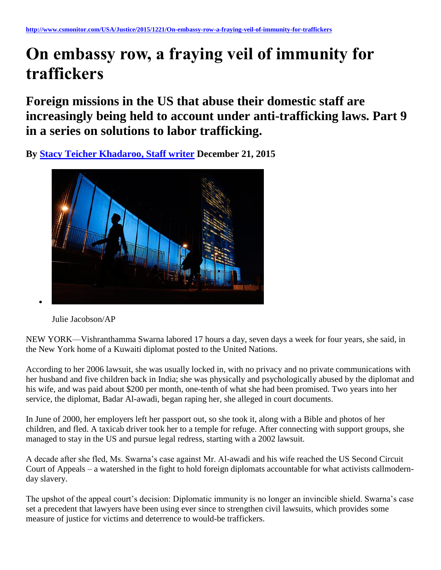## **On embassy row, a fraying veil of immunity for traffickers**

**Foreign missions in the US that abuse their domestic staff are increasingly being held to account under anti-trafficking laws. Part 9 in a series on solutions to labor trafficking.**

**By [Stacy Teicher Khadaroo, Staff writer](http://www.csmonitor.com/USA/Justice/2015/1221/On-embassy-row-a-fraying-veil-of-immunity-for-traffickers) December 21, 2015** 



Julie Jacobson/AP

NEW YORK––Vishranthamma Swarna labored 17 hours a day, seven days a week for four years, she said, in the New York home of a Kuwaiti diplomat posted to the United Nations.

According to her 2006 lawsuit, she was usually locked in, with no privacy and no private communications with her husband and five children back in India; she was physically and psychologically abused by the diplomat and his wife, and was paid about \$200 per month, one-tenth of what she had been promised. Two years into her service, the diplomat, Badar Al-awadi, began raping her, she alleged in court documents.

In June of 2000, her employers left her passport out, so she took it, along with a Bible and photos of her children, and fled. A taxicab driver took her to a temple for refuge. After connecting with support groups, she managed to stay in the US and pursue legal redress, starting with a 2002 lawsuit.

A decade after she fled, Ms. Swarna's case against Mr. Al-awadi and his wife reached the US Second Circuit Court of Appeals – a watershed in the fight to hold foreign diplomats accountable for what activists callmodernday slavery.

The upshot of the appeal court's decision: Diplomatic immunity is no longer an invincible shield. Swarna's case set a precedent that lawyers have been using ever since to strengthen civil lawsuits, which provides some measure of justice for victims and deterrence to would-be traffickers.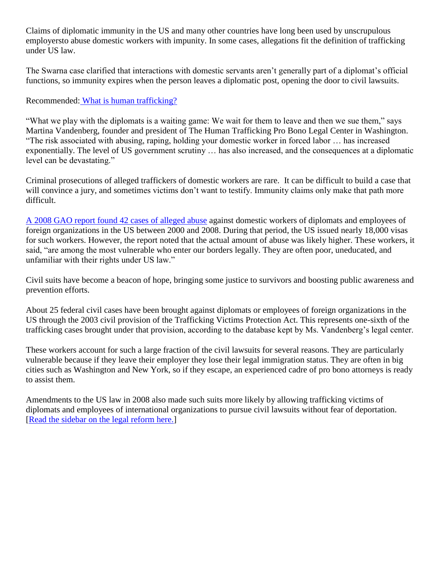Claims of diplomatic immunity in the US and many other countries have long been used by unscrupulous employersto abuse domestic workers with impunity. In some cases, allegations fit the definition of trafficking under US law.

The Swarna case clarified that interactions with domestic servants aren't generally part of a diplomat's official functions, so immunity expires when the person leaves a diplomatic post, opening the door to civil lawsuits.

## Recommended: [What is human trafficking?](http://www.csmonitor.com/World/2015/1026/What-is-human-trafficking)

"What we play with the diplomats is a waiting game: We wait for them to leave and then we sue them," says Martina Vandenberg, founder and president of The Human Trafficking Pro Bono Legal Center in Washington. "The risk associated with abusing, raping, holding your domestic worker in forced labor … has increased exponentially. The level of US government scrutiny … has also increased, and the consequences at a diplomatic level can be devastating."

Criminal prosecutions of alleged traffickers of domestic workers are rare. It can be difficult to build a case that will convince a jury, and sometimes victims don't want to testify. Immunity claims only make that path more difficult.

[A 2008 GAO report found 42 cases of alleged abuse](http://www.gao.gov/assets/280/278797.pdf) against domestic workers of diplomats and employees of foreign organizations in the US between 2000 and 2008. During that period, the US issued nearly 18,000 visas for such workers. However, the report noted that the actual amount of abuse was likely higher. These workers, it said, "are among the most vulnerable who enter our borders legally. They are often poor, uneducated, and unfamiliar with their rights under US law."

Civil suits have become a beacon of hope, bringing some justice to survivors and boosting public awareness and prevention efforts.

About 25 federal civil cases have been brought against diplomats or employees of foreign organizations in the US through the 2003 civil provision of the Trafficking Victims Protection Act. This represents one-sixth of the trafficking cases brought under that provision, according to the database kept by Ms. Vandenberg's legal center.

These workers account for such a large fraction of the civil lawsuits for several reasons. They are particularly vulnerable because if they leave their employer they lose their legal immigration status. They are often in big cities such as Washington and New York, so if they escape, an experienced cadre of pro bono attorneys is ready to assist them.

Amendments to the US law in 2008 also made such suits more likely by allowing trafficking victims of diplomats and employees of international organizations to pursue civil lawsuits without fear of deportation. [\[Read the sidebar on the legal reform here.\]](http://www.csmonitor.com/USA/Justice/2015/1221/Why-Congress-tightened-the-law-on-foreign-diplomats-hiring-staff)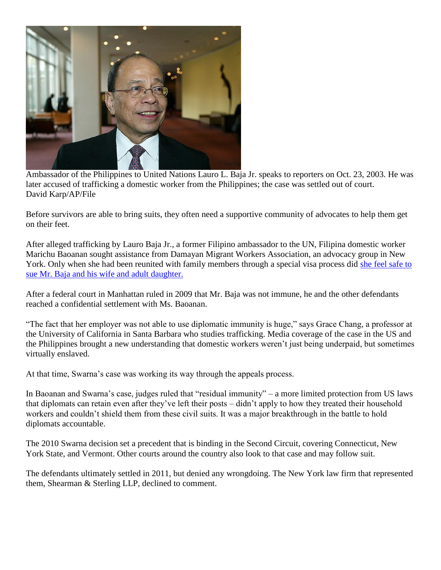

Ambassador of the Philippines to United Nations Lauro L. Baja Jr. speaks to reporters on Oct. 23, 2003. He was later accused of trafficking a domestic worker from the Philippines; the case was settled out of court. David Karp/AP/File

Before survivors are able to bring suits, they often need a supportive community of advocates to help them get on their feet.

After alleged trafficking by Lauro Baja Jr., a former Filipino ambassador to the UN, Filipina domestic worker Marichu Baoanan sought assistance from Damayan Migrant Workers Association, an advocacy group in New York. Only when she had been reunited with family members through a special visa process did she feel safe to [sue Mr. Baja and his wife and adult daughter.](http://www.csmonitor.com/World/2015/1102/Trafficking-One-woman-s-journey-from-Staten-Island-slavery-to-her-own-boss)

After a federal court in Manhattan ruled in 2009 that Mr. Baja was not immune, he and the other defendants reached a confidential settlement with Ms. Baoanan.

"The fact that her employer was not able to use diplomatic immunity is huge," says Grace Chang, a professor at the University of California in Santa Barbara who studies trafficking. Media coverage of the case in the US and the Philippines brought a new understanding that domestic workers weren't just being underpaid, but sometimes virtually enslaved.

At that time, Swarna's case was working its way through the appeals process.

In Baoanan and Swarna's case, judges ruled that "residual immunity" – a more limited protection from US laws that diplomats can retain even after they've left their posts – didn't apply to how they treated their household workers and couldn't shield them from these civil suits. It was a major breakthrough in the battle to hold diplomats accountable.

The 2010 Swarna decision set a precedent that is binding in the Second Circuit, covering Connecticut, New York State, and Vermont. Other courts around the country also look to that case and may follow suit.

The defendants ultimately settled in 2011, but denied any wrongdoing. The New York law firm that represented them, Shearman & Sterling LLP, declined to comment.